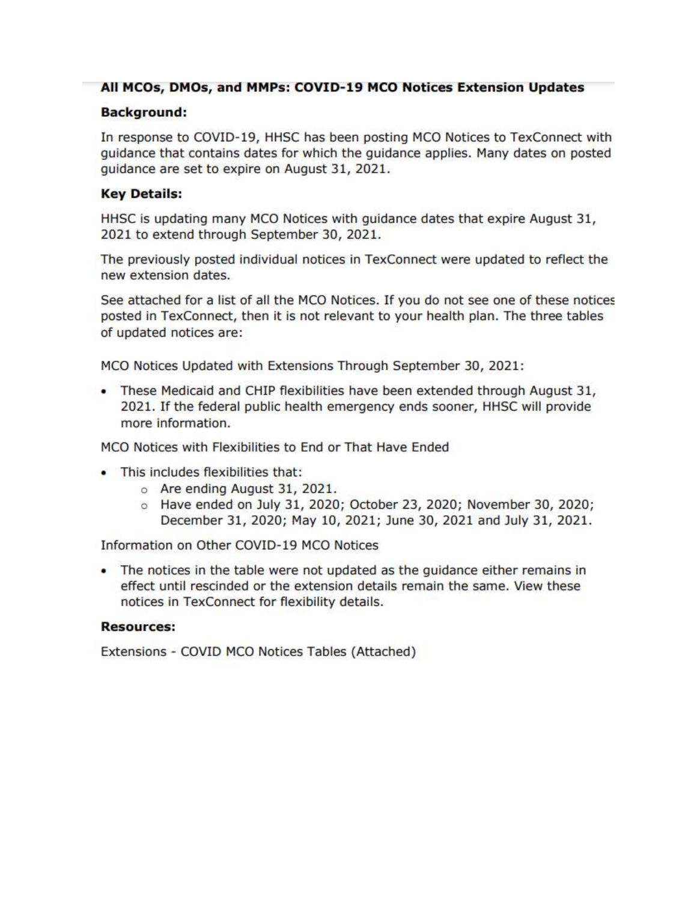## All MCOs, DMOs, and MMPs: COVID-19 MCO Notices Extension Updates

#### **Background:**

In response to COVID-19, HHSC has been posting MCO Notices to TexConnect with guidance that contains dates for which the guidance applies. Many dates on posted guidance are set to expire on August 31, 2021.

## **Key Details:**

HHSC is updating many MCO Notices with guidance dates that expire August 31, 2021 to extend through September 30, 2021.

The previously posted individual notices in TexConnect were updated to reflect the new extension dates.

See attached for a list of all the MCO Notices. If you do not see one of these notices posted in TexConnect, then it is not relevant to your health plan. The three tables of updated notices are:

MCO Notices Updated with Extensions Through September 30, 2021:

. These Medicaid and CHIP flexibilities have been extended through August 31, 2021. If the federal public health emergency ends sooner, HHSC will provide more information.

MCO Notices with Flexibilities to End or That Have Ended

- . This includes flexibilities that:
	- o Are ending August 31, 2021.
	- $\circ$  Have ended on July 31, 2020; October 23, 2020; November 30, 2020; December 31, 2020; May 10, 2021; June 30, 2021 and July 31, 2021.

Information on Other COVID-19 MCO Notices

• The notices in the table were not updated as the guidance either remains in effect until rescinded or the extension details remain the same. View these notices in TexConnect for flexibility details.

#### **Resources:**

Extensions - COVID MCO Notices Tables (Attached)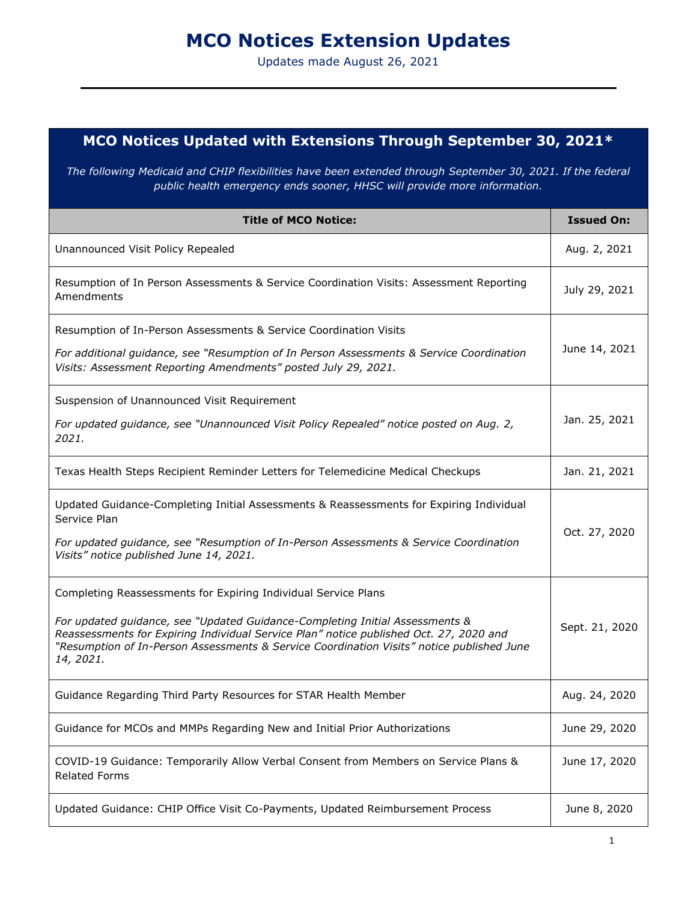# **MCO Notices Extension Updates**

Updates made August 26, 2021

# **MCO Notices Updated with Extensions Through September 30, 2021\***

*The following Medicaid and CHIP flexibilities have been extended through September 30, 2021. If the federal public health emergency ends sooner, HHSC will provide more information.*

| <b>Title of MCO Notice:</b>                                                                                                                                                                                                                                                                                                                        | <b>Issued On:</b> |
|----------------------------------------------------------------------------------------------------------------------------------------------------------------------------------------------------------------------------------------------------------------------------------------------------------------------------------------------------|-------------------|
| Unannounced Visit Policy Repealed                                                                                                                                                                                                                                                                                                                  | Aug. 2, 2021      |
| Resumption of In Person Assessments & Service Coordination Visits: Assessment Reporting<br>Amendments                                                                                                                                                                                                                                              | July 29, 2021     |
| Resumption of In-Person Assessments & Service Coordination Visits<br>For additional guidance, see "Resumption of In Person Assessments & Service Coordination<br>Visits: Assessment Reporting Amendments" posted July 29, 2021.                                                                                                                    | June 14, 2021     |
| Suspension of Unannounced Visit Requirement<br>For updated guidance, see "Unannounced Visit Policy Repealed" notice posted on Aug. 2,<br>2021.                                                                                                                                                                                                     | Jan. 25, 2021     |
| Texas Health Steps Recipient Reminder Letters for Telemedicine Medical Checkups                                                                                                                                                                                                                                                                    | Jan. 21, 2021     |
| Updated Guidance-Completing Initial Assessments & Reassessments for Expiring Individual<br>Service Plan<br>For updated guidance, see "Resumption of In-Person Assessments & Service Coordination<br>Visits" notice published June 14, 2021.                                                                                                        | Oct. 27, 2020     |
| Completing Reassessments for Expiring Individual Service Plans<br>For updated guidance, see "Updated Guidance-Completing Initial Assessments &<br>Reassessments for Expiring Individual Service Plan" notice published Oct. 27, 2020 and<br>"Resumption of In-Person Assessments & Service Coordination Visits" notice published June<br>14, 2021. | Sept. 21, 2020    |
| Guidance Regarding Third Party Resources for STAR Health Member                                                                                                                                                                                                                                                                                    | Aug. 24, 2020     |
| Guidance for MCOs and MMPs Regarding New and Initial Prior Authorizations                                                                                                                                                                                                                                                                          | June 29, 2020     |
| COVID-19 Guidance: Temporarily Allow Verbal Consent from Members on Service Plans &<br><b>Related Forms</b>                                                                                                                                                                                                                                        | June 17, 2020     |
| Updated Guidance: CHIP Office Visit Co-Payments, Updated Reimbursement Process                                                                                                                                                                                                                                                                     | June 8, 2020      |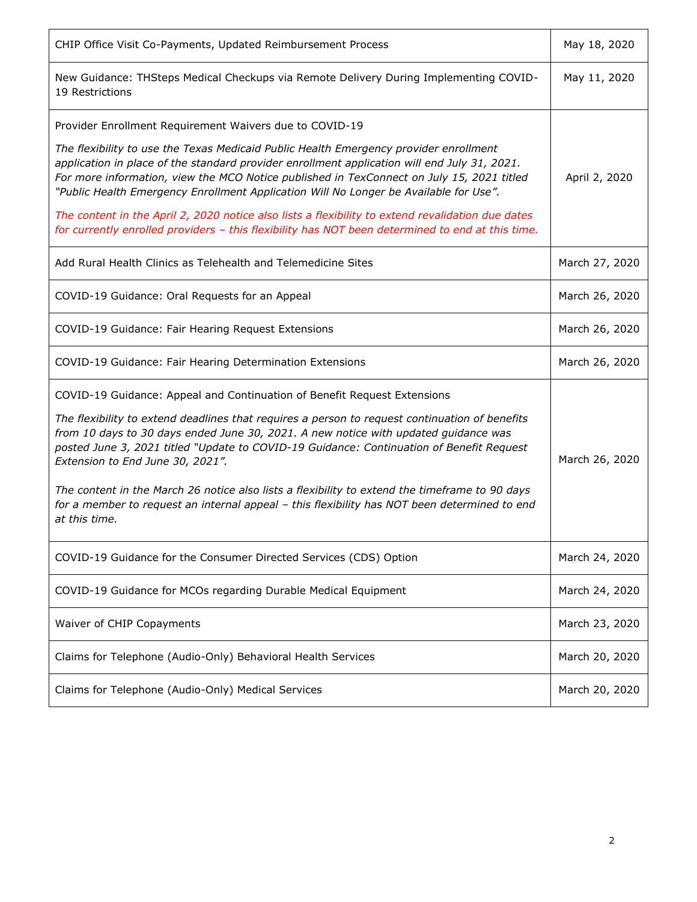| CHIP Office Visit Co-Payments, Updated Reimbursement Process                                                                                                                                                                                                                                                                                                                                                                                                                                                                                                                                                         | May 18, 2020   |
|----------------------------------------------------------------------------------------------------------------------------------------------------------------------------------------------------------------------------------------------------------------------------------------------------------------------------------------------------------------------------------------------------------------------------------------------------------------------------------------------------------------------------------------------------------------------------------------------------------------------|----------------|
| New Guidance: THSteps Medical Checkups via Remote Delivery During Implementing COVID-<br>19 Restrictions                                                                                                                                                                                                                                                                                                                                                                                                                                                                                                             | May 11, 2020   |
| Provider Enrollment Requirement Waivers due to COVID-19                                                                                                                                                                                                                                                                                                                                                                                                                                                                                                                                                              |                |
| The flexibility to use the Texas Medicaid Public Health Emergency provider enrollment<br>application in place of the standard provider enrollment application will end July 31, 2021.<br>For more information, view the MCO Notice published in TexConnect on July 15, 2021 titled<br>"Public Health Emergency Enrollment Application Will No Longer be Available for Use".                                                                                                                                                                                                                                          | April 2, 2020  |
| The content in the April 2, 2020 notice also lists a flexibility to extend revalidation due dates<br>for currently enrolled providers - this flexibility has NOT been determined to end at this time.                                                                                                                                                                                                                                                                                                                                                                                                                |                |
| Add Rural Health Clinics as Telehealth and Telemedicine Sites                                                                                                                                                                                                                                                                                                                                                                                                                                                                                                                                                        | March 27, 2020 |
| COVID-19 Guidance: Oral Requests for an Appeal                                                                                                                                                                                                                                                                                                                                                                                                                                                                                                                                                                       | March 26, 2020 |
| COVID-19 Guidance: Fair Hearing Request Extensions                                                                                                                                                                                                                                                                                                                                                                                                                                                                                                                                                                   | March 26, 2020 |
| COVID-19 Guidance: Fair Hearing Determination Extensions                                                                                                                                                                                                                                                                                                                                                                                                                                                                                                                                                             | March 26, 2020 |
| COVID-19 Guidance: Appeal and Continuation of Benefit Request Extensions<br>The flexibility to extend deadlines that requires a person to request continuation of benefits<br>from 10 days to 30 days ended June 30, 2021. A new notice with updated guidance was<br>posted June 3, 2021 titled "Update to COVID-19 Guidance: Continuation of Benefit Request<br>Extension to End June 30, 2021".<br>The content in the March 26 notice also lists a flexibility to extend the timeframe to 90 days<br>for a member to request an internal appeal - this flexibility has NOT been determined to end<br>at this time. | March 26, 2020 |
| COVID-19 Guidance for the Consumer Directed Services (CDS) Option                                                                                                                                                                                                                                                                                                                                                                                                                                                                                                                                                    | March 24, 2020 |
| COVID-19 Guidance for MCOs regarding Durable Medical Equipment                                                                                                                                                                                                                                                                                                                                                                                                                                                                                                                                                       | March 24, 2020 |
| Waiver of CHIP Copayments                                                                                                                                                                                                                                                                                                                                                                                                                                                                                                                                                                                            | March 23, 2020 |
| Claims for Telephone (Audio-Only) Behavioral Health Services                                                                                                                                                                                                                                                                                                                                                                                                                                                                                                                                                         | March 20, 2020 |
| Claims for Telephone (Audio-Only) Medical Services                                                                                                                                                                                                                                                                                                                                                                                                                                                                                                                                                                   | March 20, 2020 |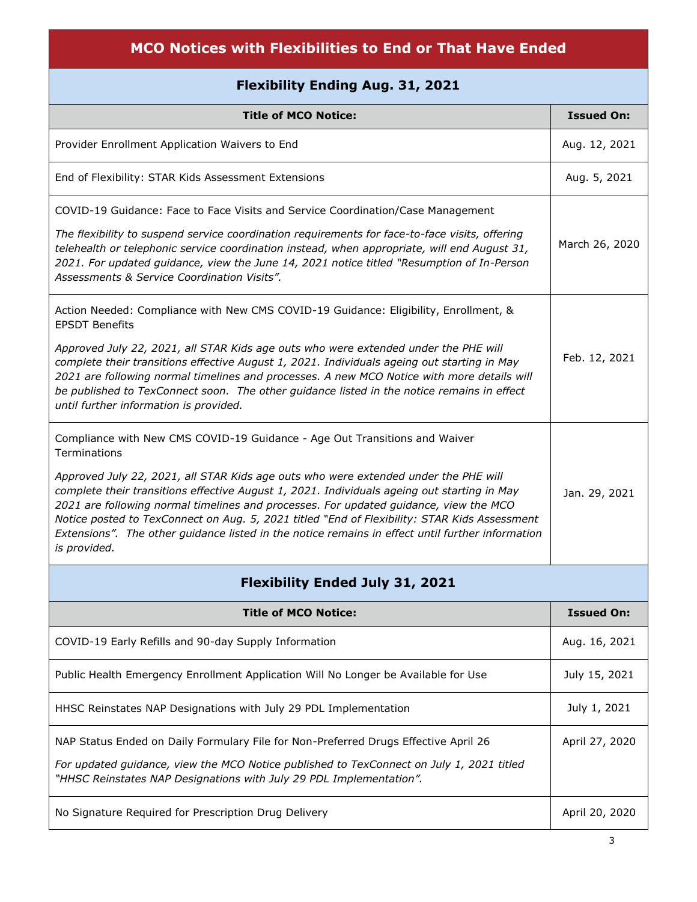| MCO Notices with Flexibilities to End or That Have Ended                                                                                                                                                                                                                                                                                                                                                                                                                         |                   |
|----------------------------------------------------------------------------------------------------------------------------------------------------------------------------------------------------------------------------------------------------------------------------------------------------------------------------------------------------------------------------------------------------------------------------------------------------------------------------------|-------------------|
| <b>Flexibility Ending Aug. 31, 2021</b>                                                                                                                                                                                                                                                                                                                                                                                                                                          |                   |
| <b>Title of MCO Notice:</b>                                                                                                                                                                                                                                                                                                                                                                                                                                                      | <b>Issued On:</b> |
| Provider Enrollment Application Waivers to End                                                                                                                                                                                                                                                                                                                                                                                                                                   | Aug. 12, 2021     |
| End of Flexibility: STAR Kids Assessment Extensions                                                                                                                                                                                                                                                                                                                                                                                                                              | Aug. 5, 2021      |
| COVID-19 Guidance: Face to Face Visits and Service Coordination/Case Management                                                                                                                                                                                                                                                                                                                                                                                                  |                   |
| The flexibility to suspend service coordination requirements for face-to-face visits, offering<br>telehealth or telephonic service coordination instead, when appropriate, will end August 31,<br>2021. For updated guidance, view the June 14, 2021 notice titled "Resumption of In-Person<br>Assessments & Service Coordination Visits".                                                                                                                                       | March 26, 2020    |
| Action Needed: Compliance with New CMS COVID-19 Guidance: Eligibility, Enrollment, &<br><b>EPSDT Benefits</b>                                                                                                                                                                                                                                                                                                                                                                    |                   |
| Approved July 22, 2021, all STAR Kids age outs who were extended under the PHE will<br>complete their transitions effective August 1, 2021. Individuals ageing out starting in May<br>2021 are following normal timelines and processes. A new MCO Notice with more details will<br>be published to TexConnect soon. The other guidance listed in the notice remains in effect<br>until further information is provided.                                                         | Feb. 12, 2021     |
| Compliance with New CMS COVID-19 Guidance - Age Out Transitions and Waiver<br><b>Terminations</b><br>Approved July 22, 2021, all STAR Kids age outs who were extended under the PHE will<br>complete their transitions effective August 1, 2021. Individuals ageing out starting in May<br>2021 are following normal timelines and processes. For updated guidance, view the MCO<br>Notice posted to TexConnect on Aug. 5, 2021 titled "End of Flexibility: STAR Kids Assessment | Jan. 29, 2021     |
| Extensions". The other guidance listed in the notice remains in effect until further information<br>is provided.                                                                                                                                                                                                                                                                                                                                                                 |                   |
| <b>Flexibility Ended July 31, 2021</b>                                                                                                                                                                                                                                                                                                                                                                                                                                           |                   |
| <b>Title of MCO Notice:</b>                                                                                                                                                                                                                                                                                                                                                                                                                                                      | <b>Issued On:</b> |
| COVID-19 Early Refills and 90-day Supply Information                                                                                                                                                                                                                                                                                                                                                                                                                             | Aug. 16, 2021     |
| Public Health Emergency Enrollment Application Will No Longer be Available for Use                                                                                                                                                                                                                                                                                                                                                                                               | July 15, 2021     |
| HHSC Reinstates NAP Designations with July 29 PDL Implementation                                                                                                                                                                                                                                                                                                                                                                                                                 | July 1, 2021      |
| NAP Status Ended on Daily Formulary File for Non-Preferred Drugs Effective April 26                                                                                                                                                                                                                                                                                                                                                                                              | April 27, 2020    |
| For updated guidance, view the MCO Notice published to TexConnect on July 1, 2021 titled<br>"HHSC Reinstates NAP Designations with July 29 PDL Implementation".                                                                                                                                                                                                                                                                                                                  |                   |
| No Signature Required for Prescription Drug Delivery                                                                                                                                                                                                                                                                                                                                                                                                                             | April 20, 2020    |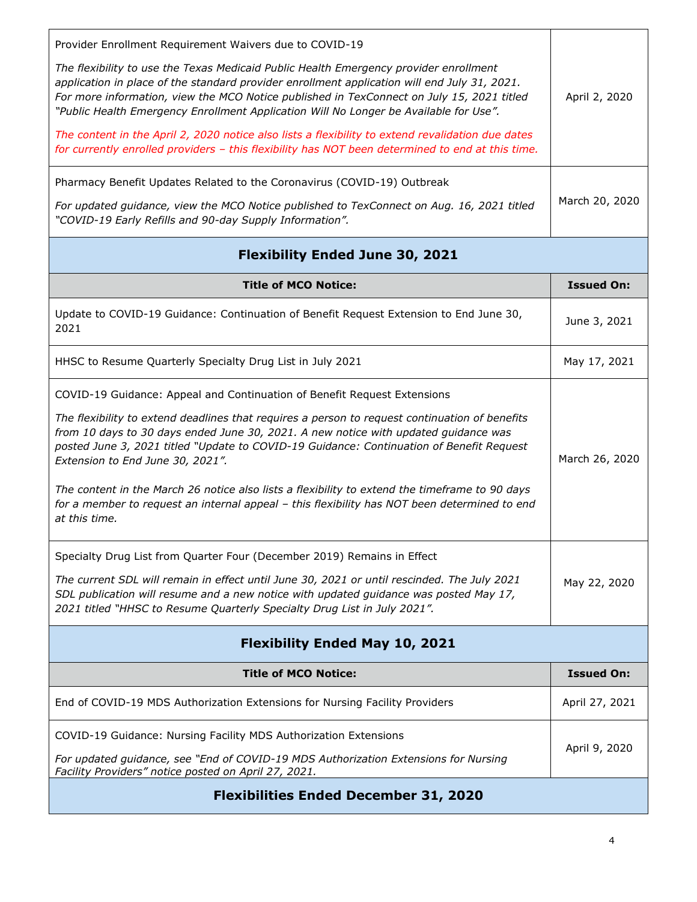| Provider Enrollment Requirement Waivers due to COVID-19<br>The flexibility to use the Texas Medicaid Public Health Emergency provider enrollment<br>application in place of the standard provider enrollment application will end July 31, 2021.<br>For more information, view the MCO Notice published in TexConnect on July 15, 2021 titled<br>"Public Health Emergency Enrollment Application Will No Longer be Available for Use".<br>The content in the April 2, 2020 notice also lists a flexibility to extend revalidation due dates<br>for currently enrolled providers - this flexibility has NOT been determined to end at this time. | April 2, 2020     |
|-------------------------------------------------------------------------------------------------------------------------------------------------------------------------------------------------------------------------------------------------------------------------------------------------------------------------------------------------------------------------------------------------------------------------------------------------------------------------------------------------------------------------------------------------------------------------------------------------------------------------------------------------|-------------------|
| Pharmacy Benefit Updates Related to the Coronavirus (COVID-19) Outbreak<br>For updated guidance, view the MCO Notice published to TexConnect on Aug. 16, 2021 titled<br>"COVID-19 Early Refills and 90-day Supply Information".                                                                                                                                                                                                                                                                                                                                                                                                                 | March 20, 2020    |
| <b>Flexibility Ended June 30, 2021</b>                                                                                                                                                                                                                                                                                                                                                                                                                                                                                                                                                                                                          |                   |
| <b>Title of MCO Notice:</b>                                                                                                                                                                                                                                                                                                                                                                                                                                                                                                                                                                                                                     | <b>Issued On:</b> |
| Update to COVID-19 Guidance: Continuation of Benefit Request Extension to End June 30,<br>2021                                                                                                                                                                                                                                                                                                                                                                                                                                                                                                                                                  | June 3, 2021      |
| HHSC to Resume Quarterly Specialty Drug List in July 2021                                                                                                                                                                                                                                                                                                                                                                                                                                                                                                                                                                                       | May 17, 2021      |
| COVID-19 Guidance: Appeal and Continuation of Benefit Request Extensions<br>The flexibility to extend deadlines that requires a person to request continuation of benefits<br>from 10 days to 30 days ended June 30, 2021. A new notice with updated guidance was<br>posted June 3, 2021 titled "Update to COVID-19 Guidance: Continuation of Benefit Request<br>Extension to End June 30, 2021".<br>The content in the March 26 notice also lists a flexibility to extend the timeframe to 90 days<br>for a member to request an internal appeal - this flexibility has NOT been determined to end<br>at this time.                            | March 26, 2020    |
| Specialty Drug List from Quarter Four (December 2019) Remains in Effect<br>The current SDL will remain in effect until June 30, 2021 or until rescinded. The July 2021<br>SDL publication will resume and a new notice with updated guidance was posted May 17,<br>2021 titled "HHSC to Resume Quarterly Specialty Drug List in July 2021".                                                                                                                                                                                                                                                                                                     | May 22, 2020      |
| <b>Flexibility Ended May 10, 2021</b>                                                                                                                                                                                                                                                                                                                                                                                                                                                                                                                                                                                                           |                   |
| <b>Title of MCO Notice:</b>                                                                                                                                                                                                                                                                                                                                                                                                                                                                                                                                                                                                                     | <b>Issued On:</b> |
| End of COVID-19 MDS Authorization Extensions for Nursing Facility Providers                                                                                                                                                                                                                                                                                                                                                                                                                                                                                                                                                                     | April 27, 2021    |
| COVID-19 Guidance: Nursing Facility MDS Authorization Extensions<br>For updated guidance, see "End of COVID-19 MDS Authorization Extensions for Nursing<br>Facility Providers" notice posted on April 27, 2021.                                                                                                                                                                                                                                                                                                                                                                                                                                 | April 9, 2020     |
| <b>Flexibilities Ended December 31, 2020</b>                                                                                                                                                                                                                                                                                                                                                                                                                                                                                                                                                                                                    |                   |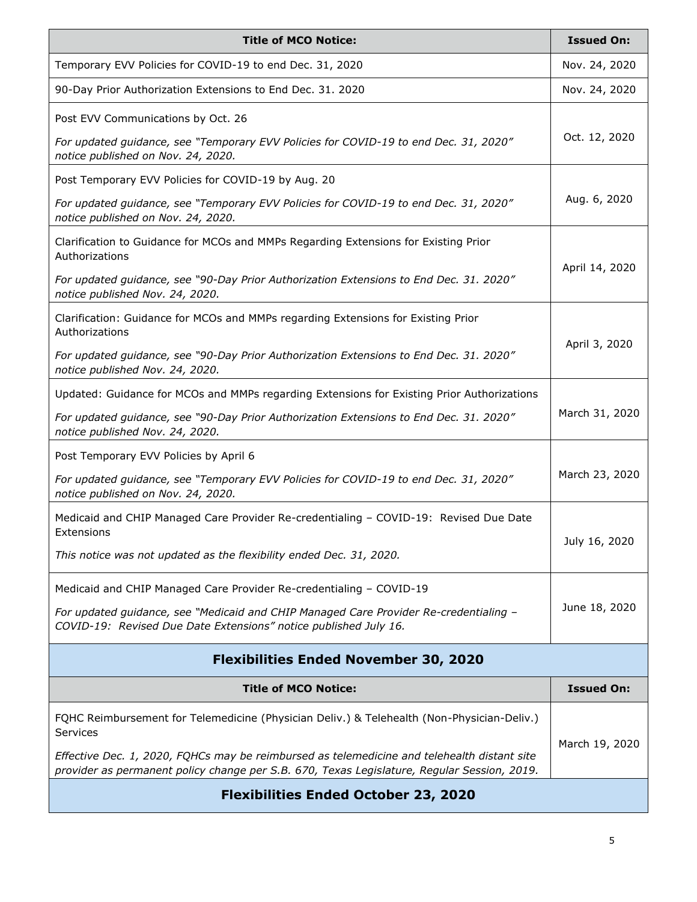| <b>Title of MCO Notice:</b>                                                                                                                                                                | <b>Issued On:</b> |
|--------------------------------------------------------------------------------------------------------------------------------------------------------------------------------------------|-------------------|
| Temporary EVV Policies for COVID-19 to end Dec. 31, 2020                                                                                                                                   | Nov. 24, 2020     |
| 90-Day Prior Authorization Extensions to End Dec. 31. 2020                                                                                                                                 | Nov. 24, 2020     |
| Post EVV Communications by Oct. 26                                                                                                                                                         |                   |
| For updated guidance, see "Temporary EVV Policies for COVID-19 to end Dec. 31, 2020"<br>notice published on Nov. 24, 2020.                                                                 | Oct. 12, 2020     |
| Post Temporary EVV Policies for COVID-19 by Aug. 20                                                                                                                                        |                   |
| For updated guidance, see "Temporary EVV Policies for COVID-19 to end Dec. 31, 2020"<br>notice published on Nov. 24, 2020.                                                                 | Aug. 6, 2020      |
| Clarification to Guidance for MCOs and MMPs Regarding Extensions for Existing Prior<br>Authorizations                                                                                      |                   |
| For updated guidance, see "90-Day Prior Authorization Extensions to End Dec. 31. 2020"<br>notice published Nov. 24, 2020.                                                                  | April 14, 2020    |
| Clarification: Guidance for MCOs and MMPs regarding Extensions for Existing Prior<br>Authorizations                                                                                        |                   |
| For updated guidance, see "90-Day Prior Authorization Extensions to End Dec. 31. 2020"<br>notice published Nov. 24, 2020.                                                                  | April 3, 2020     |
| Updated: Guidance for MCOs and MMPs regarding Extensions for Existing Prior Authorizations                                                                                                 |                   |
| For updated guidance, see "90-Day Prior Authorization Extensions to End Dec. 31. 2020"<br>notice published Nov. 24, 2020.                                                                  | March 31, 2020    |
| Post Temporary EVV Policies by April 6                                                                                                                                                     |                   |
| For updated guidance, see "Temporary EVV Policies for COVID-19 to end Dec. 31, 2020"<br>notice published on Nov. 24, 2020.                                                                 | March 23, 2020    |
| Medicaid and CHIP Managed Care Provider Re-credentialing - COVID-19: Revised Due Date<br>Extensions                                                                                        |                   |
| This notice was not updated as the flexibility ended Dec. 31, 2020.                                                                                                                        | July 16, 2020     |
| Medicaid and CHIP Managed Care Provider Re-credentialing - COVID-19                                                                                                                        |                   |
| For updated guidance, see "Medicaid and CHIP Managed Care Provider Re-credentialing -<br>COVID-19: Revised Due Date Extensions" notice published July 16.                                  | June 18, 2020     |
| <b>Flexibilities Ended November 30, 2020</b>                                                                                                                                               |                   |
| <b>Title of MCO Notice:</b>                                                                                                                                                                | <b>Issued On:</b> |
| FQHC Reimbursement for Telemedicine (Physician Deliv.) & Telehealth (Non-Physician-Deliv.)<br>Services                                                                                     |                   |
| Effective Dec. 1, 2020, FQHCs may be reimbursed as telemedicine and telehealth distant site<br>provider as permanent policy change per S.B. 670, Texas Legislature, Regular Session, 2019. | March 19, 2020    |
| <b>Flexibilities Ended October 23, 2020</b>                                                                                                                                                |                   |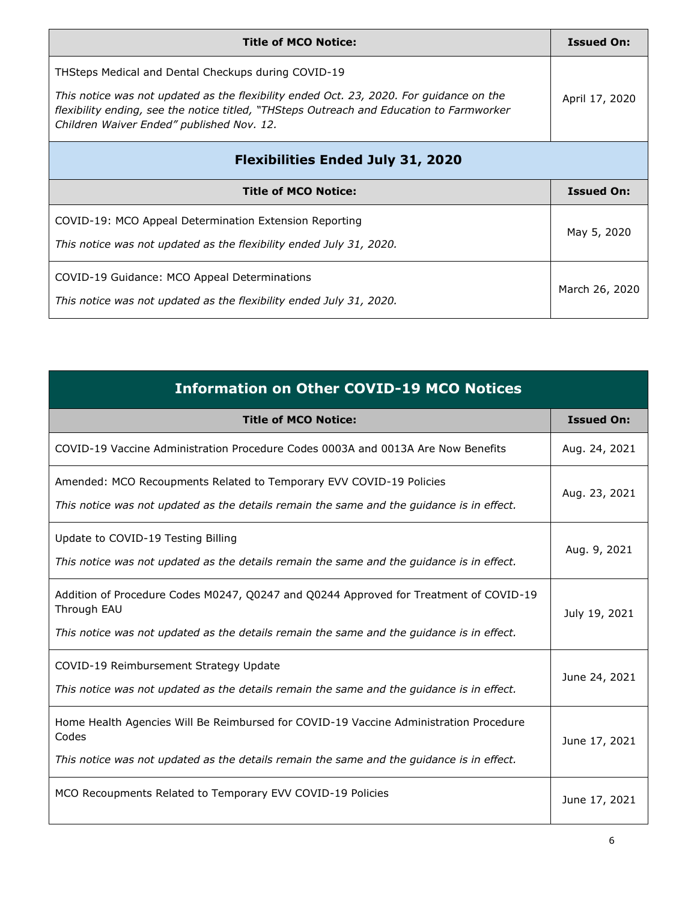| <b>Title of MCO Notice:</b>                                                                                                                                                                                                      | <b>Issued On:</b> |
|----------------------------------------------------------------------------------------------------------------------------------------------------------------------------------------------------------------------------------|-------------------|
| THSteps Medical and Dental Checkups during COVID-19                                                                                                                                                                              |                   |
| This notice was not updated as the flexibility ended Oct. 23, 2020. For guidance on the<br>flexibility ending, see the notice titled, "THSteps Outreach and Education to Farmworker<br>Children Waiver Ended" published Nov. 12. | April 17, 2020    |
| <b>Flexibilities Ended July 31, 2020</b>                                                                                                                                                                                         |                   |
| <b>Title of MCO Notice:</b>                                                                                                                                                                                                      | <b>Issued On:</b> |
| COVID-19: MCO Appeal Determination Extension Reporting<br>This notice was not updated as the flexibility ended July 31, 2020.                                                                                                    | May 5, 2020       |
| COVID-19 Guidance: MCO Appeal Determinations<br>This notice was not updated as the flexibility ended July 31, 2020.                                                                                                              | March 26, 2020    |

| <b>Information on Other COVID-19 MCO Notices</b>                                                                                                                                                  |                   |
|---------------------------------------------------------------------------------------------------------------------------------------------------------------------------------------------------|-------------------|
| <b>Title of MCO Notice:</b>                                                                                                                                                                       | <b>Issued On:</b> |
| COVID-19 Vaccine Administration Procedure Codes 0003A and 0013A Are Now Benefits                                                                                                                  | Aug. 24, 2021     |
| Amended: MCO Recoupments Related to Temporary EVV COVID-19 Policies<br>This notice was not updated as the details remain the same and the guidance is in effect.                                  | Aug. 23, 2021     |
| Update to COVID-19 Testing Billing<br>This notice was not updated as the details remain the same and the guidance is in effect.                                                                   | Aug. 9, 2021      |
| Addition of Procedure Codes M0247, Q0247 and Q0244 Approved for Treatment of COVID-19<br>Through EAU<br>This notice was not updated as the details remain the same and the guidance is in effect. | July 19, 2021     |
| COVID-19 Reimbursement Strategy Update<br>This notice was not updated as the details remain the same and the guidance is in effect.                                                               | June 24, 2021     |
| Home Health Agencies Will Be Reimbursed for COVID-19 Vaccine Administration Procedure<br>Codes<br>This notice was not updated as the details remain the same and the guidance is in effect.       | June 17, 2021     |
| MCO Recoupments Related to Temporary EVV COVID-19 Policies                                                                                                                                        | June 17, 2021     |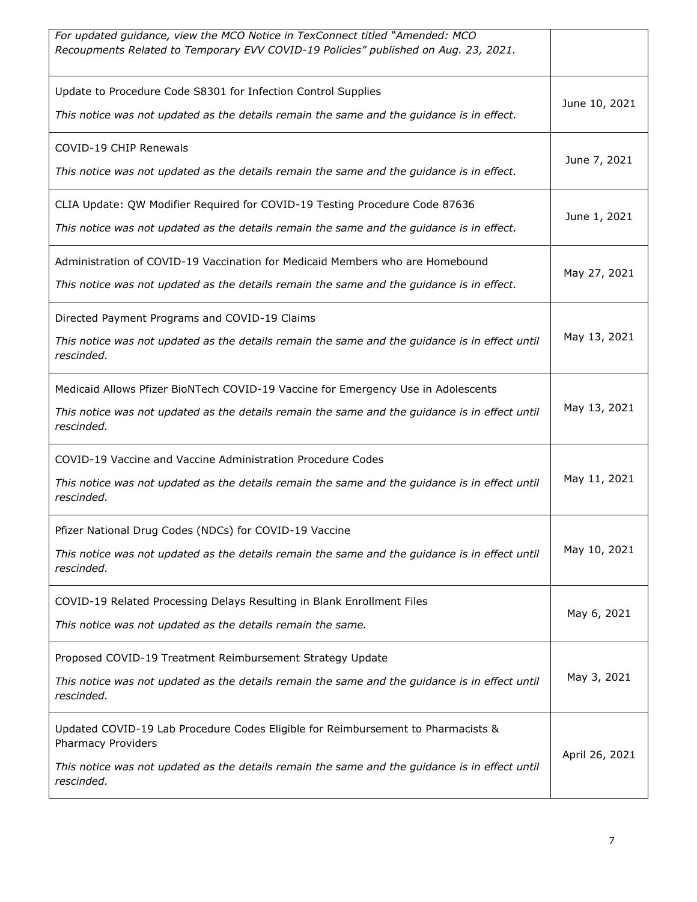| For updated guidance, view the MCO Notice in TexConnect titled "Amended: MCO<br>Recoupments Related to Temporary EVV COVID-19 Policies" published on Aug. 23, 2021.                                                    |                |
|------------------------------------------------------------------------------------------------------------------------------------------------------------------------------------------------------------------------|----------------|
| Update to Procedure Code S8301 for Infection Control Supplies<br>This notice was not updated as the details remain the same and the guidance is in effect.                                                             | June 10, 2021  |
| COVID-19 CHIP Renewals<br>This notice was not updated as the details remain the same and the guidance is in effect.                                                                                                    | June 7, 2021   |
| CLIA Update: QW Modifier Required for COVID-19 Testing Procedure Code 87636<br>This notice was not updated as the details remain the same and the guidance is in effect.                                               | June 1, 2021   |
| Administration of COVID-19 Vaccination for Medicaid Members who are Homebound<br>This notice was not updated as the details remain the same and the guidance is in effect.                                             | May 27, 2021   |
| Directed Payment Programs and COVID-19 Claims<br>This notice was not updated as the details remain the same and the guidance is in effect until<br>rescinded.                                                          | May 13, 2021   |
| Medicaid Allows Pfizer BioNTech COVID-19 Vaccine for Emergency Use in Adolescents<br>This notice was not updated as the details remain the same and the guidance is in effect until<br>rescinded.                      | May 13, 2021   |
| COVID-19 Vaccine and Vaccine Administration Procedure Codes<br>This notice was not updated as the details remain the same and the guidance is in effect until<br>rescinded.                                            | May 11, 2021   |
| Pfizer National Drug Codes (NDCs) for COVID-19 Vaccine<br>This notice was not updated as the details remain the same and the guidance is in effect until<br>rescinded.                                                 | May 10, 2021   |
| COVID-19 Related Processing Delays Resulting in Blank Enrollment Files<br>This notice was not updated as the details remain the same.                                                                                  | May 6, 2021    |
| Proposed COVID-19 Treatment Reimbursement Strategy Update<br>This notice was not updated as the details remain the same and the guidance is in effect until<br>rescinded.                                              | May 3, 2021    |
| Updated COVID-19 Lab Procedure Codes Eligible for Reimbursement to Pharmacists &<br>Pharmacy Providers<br>This notice was not updated as the details remain the same and the guidance is in effect until<br>rescinded. | April 26, 2021 |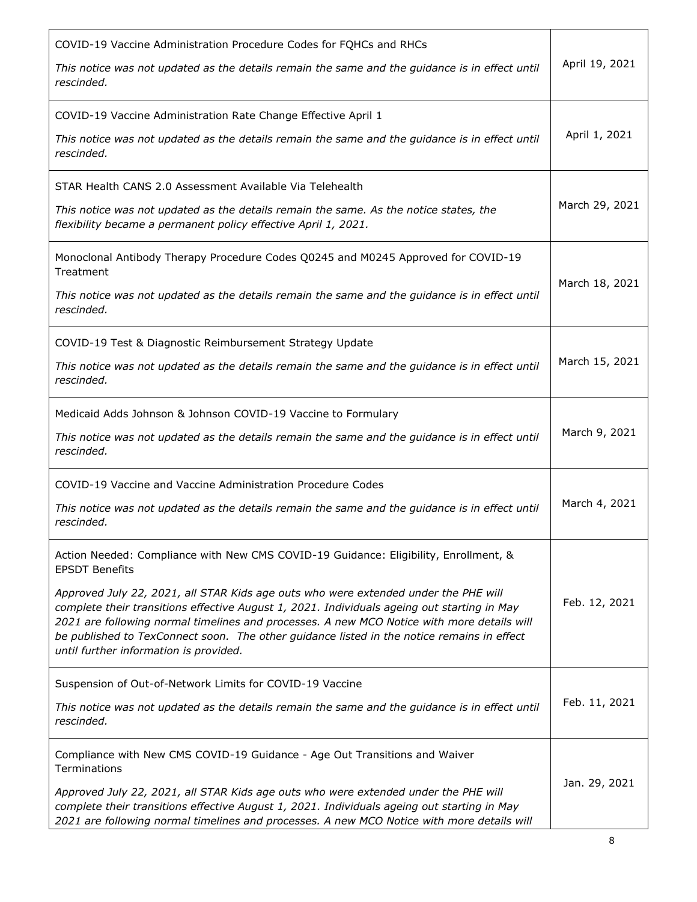| COVID-19 Vaccine Administration Procedure Codes for FQHCs and RHCs<br>This notice was not updated as the details remain the same and the guidance is in effect until                                                                                                                                                                                                                                                     | April 19, 2021 |
|--------------------------------------------------------------------------------------------------------------------------------------------------------------------------------------------------------------------------------------------------------------------------------------------------------------------------------------------------------------------------------------------------------------------------|----------------|
| rescinded.                                                                                                                                                                                                                                                                                                                                                                                                               |                |
| COVID-19 Vaccine Administration Rate Change Effective April 1                                                                                                                                                                                                                                                                                                                                                            |                |
| This notice was not updated as the details remain the same and the guidance is in effect until<br>rescinded.                                                                                                                                                                                                                                                                                                             | April 1, 2021  |
| STAR Health CANS 2.0 Assessment Available Via Telehealth                                                                                                                                                                                                                                                                                                                                                                 |                |
| This notice was not updated as the details remain the same. As the notice states, the<br>flexibility became a permanent policy effective April 1, 2021.                                                                                                                                                                                                                                                                  | March 29, 2021 |
| Monoclonal Antibody Therapy Procedure Codes Q0245 and M0245 Approved for COVID-19<br>Treatment                                                                                                                                                                                                                                                                                                                           |                |
| This notice was not updated as the details remain the same and the guidance is in effect until<br>rescinded.                                                                                                                                                                                                                                                                                                             | March 18, 2021 |
| COVID-19 Test & Diagnostic Reimbursement Strategy Update                                                                                                                                                                                                                                                                                                                                                                 |                |
| This notice was not updated as the details remain the same and the guidance is in effect until<br>rescinded.                                                                                                                                                                                                                                                                                                             | March 15, 2021 |
| Medicaid Adds Johnson & Johnson COVID-19 Vaccine to Formulary                                                                                                                                                                                                                                                                                                                                                            |                |
| This notice was not updated as the details remain the same and the guidance is in effect until<br>rescinded.                                                                                                                                                                                                                                                                                                             | March 9, 2021  |
| COVID-19 Vaccine and Vaccine Administration Procedure Codes                                                                                                                                                                                                                                                                                                                                                              |                |
| This notice was not updated as the details remain the same and the guidance is in effect until<br>rescinded.                                                                                                                                                                                                                                                                                                             | March 4, 2021  |
| Action Needed: Compliance with New CMS COVID-19 Guidance: Eligibility, Enrollment, &<br><b>EPSDT Benefits</b>                                                                                                                                                                                                                                                                                                            |                |
| Approved July 22, 2021, all STAR Kids age outs who were extended under the PHE will<br>complete their transitions effective August 1, 2021. Individuals ageing out starting in May<br>2021 are following normal timelines and processes. A new MCO Notice with more details will<br>be published to TexConnect soon. The other guidance listed in the notice remains in effect<br>until further information is provided. | Feb. 12, 2021  |
| Suspension of Out-of-Network Limits for COVID-19 Vaccine                                                                                                                                                                                                                                                                                                                                                                 |                |
| This notice was not updated as the details remain the same and the guidance is in effect until<br>rescinded.                                                                                                                                                                                                                                                                                                             | Feb. 11, 2021  |
| Compliance with New CMS COVID-19 Guidance - Age Out Transitions and Waiver<br>Terminations                                                                                                                                                                                                                                                                                                                               |                |
| Approved July 22, 2021, all STAR Kids age outs who were extended under the PHE will<br>complete their transitions effective August 1, 2021. Individuals ageing out starting in May<br>2021 are following normal timelines and processes. A new MCO Notice with more details will                                                                                                                                         | Jan. 29, 2021  |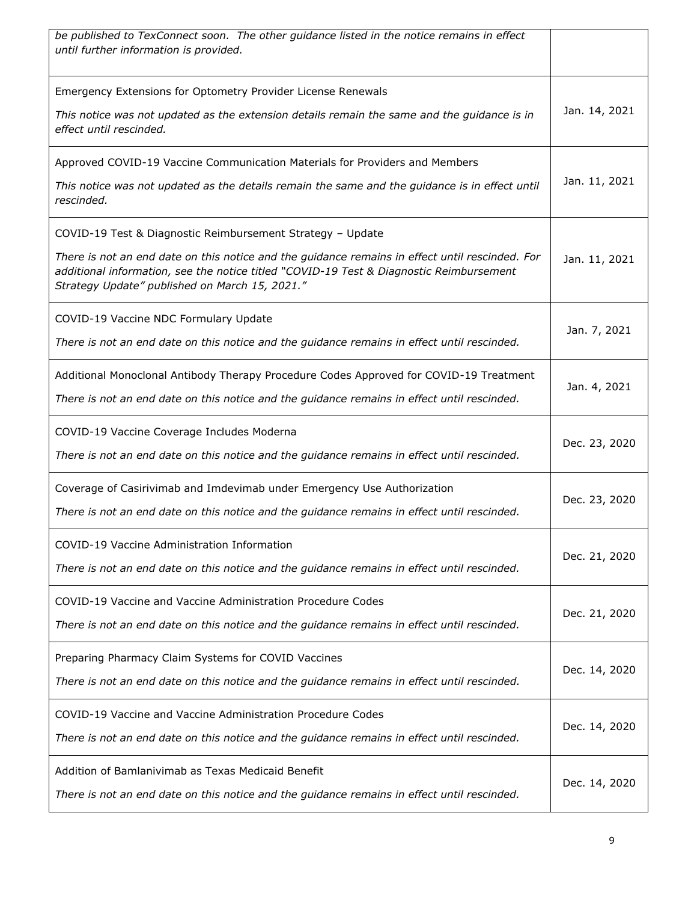| be published to TexConnect soon. The other guidance listed in the notice remains in effect<br>until further information is provided.                                                                                                                                                                       |               |
|------------------------------------------------------------------------------------------------------------------------------------------------------------------------------------------------------------------------------------------------------------------------------------------------------------|---------------|
| Emergency Extensions for Optometry Provider License Renewals<br>This notice was not updated as the extension details remain the same and the guidance is in<br>effect until rescinded.                                                                                                                     | Jan. 14, 2021 |
| Approved COVID-19 Vaccine Communication Materials for Providers and Members<br>This notice was not updated as the details remain the same and the guidance is in effect until<br>rescinded.                                                                                                                | Jan. 11, 2021 |
| COVID-19 Test & Diagnostic Reimbursement Strategy - Update<br>There is not an end date on this notice and the guidance remains in effect until rescinded. For<br>additional information, see the notice titled "COVID-19 Test & Diagnostic Reimbursement<br>Strategy Update" published on March 15, 2021." | Jan. 11, 2021 |
| COVID-19 Vaccine NDC Formulary Update<br>There is not an end date on this notice and the guidance remains in effect until rescinded.                                                                                                                                                                       | Jan. 7, 2021  |
| Additional Monoclonal Antibody Therapy Procedure Codes Approved for COVID-19 Treatment<br>There is not an end date on this notice and the guidance remains in effect until rescinded.                                                                                                                      | Jan. 4, 2021  |
| COVID-19 Vaccine Coverage Includes Moderna<br>There is not an end date on this notice and the guidance remains in effect until rescinded.                                                                                                                                                                  | Dec. 23, 2020 |
| Coverage of Casirivimab and Imdevimab under Emergency Use Authorization<br>There is not an end date on this notice and the guidance remains in effect until rescinded.                                                                                                                                     | Dec. 23, 2020 |
| COVID-19 Vaccine Administration Information<br>There is not an end date on this notice and the guidance remains in effect until rescinded.                                                                                                                                                                 | Dec. 21, 2020 |
| COVID-19 Vaccine and Vaccine Administration Procedure Codes<br>There is not an end date on this notice and the guidance remains in effect until rescinded.                                                                                                                                                 | Dec. 21, 2020 |
| Preparing Pharmacy Claim Systems for COVID Vaccines<br>There is not an end date on this notice and the guidance remains in effect until rescinded.                                                                                                                                                         | Dec. 14, 2020 |
| COVID-19 Vaccine and Vaccine Administration Procedure Codes<br>There is not an end date on this notice and the guidance remains in effect until rescinded.                                                                                                                                                 | Dec. 14, 2020 |
| Addition of Bamlanivimab as Texas Medicaid Benefit<br>There is not an end date on this notice and the guidance remains in effect until rescinded.                                                                                                                                                          | Dec. 14, 2020 |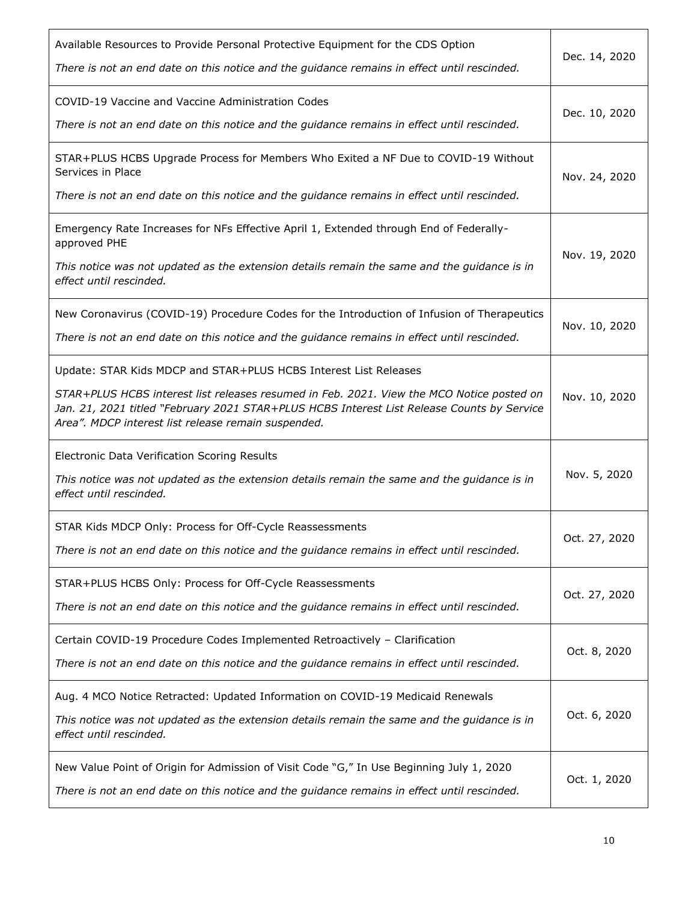| Available Resources to Provide Personal Protective Equipment for the CDS Option<br>There is not an end date on this notice and the guidance remains in effect until rescinded.                                                                                                                                     | Dec. 14, 2020 |
|--------------------------------------------------------------------------------------------------------------------------------------------------------------------------------------------------------------------------------------------------------------------------------------------------------------------|---------------|
| COVID-19 Vaccine and Vaccine Administration Codes<br>There is not an end date on this notice and the guidance remains in effect until rescinded.                                                                                                                                                                   | Dec. 10, 2020 |
| STAR+PLUS HCBS Upgrade Process for Members Who Exited a NF Due to COVID-19 Without<br>Services in Place<br>There is not an end date on this notice and the guidance remains in effect until rescinded.                                                                                                             | Nov. 24, 2020 |
| Emergency Rate Increases for NFs Effective April 1, Extended through End of Federally-<br>approved PHE<br>This notice was not updated as the extension details remain the same and the guidance is in<br>effect until rescinded.                                                                                   | Nov. 19, 2020 |
| New Coronavirus (COVID-19) Procedure Codes for the Introduction of Infusion of Therapeutics<br>There is not an end date on this notice and the guidance remains in effect until rescinded.                                                                                                                         | Nov. 10, 2020 |
| Update: STAR Kids MDCP and STAR+PLUS HCBS Interest List Releases<br>STAR+PLUS HCBS interest list releases resumed in Feb. 2021. View the MCO Notice posted on<br>Jan. 21, 2021 titled "February 2021 STAR+PLUS HCBS Interest List Release Counts by Service<br>Area". MDCP interest list release remain suspended. | Nov. 10, 2020 |
| Electronic Data Verification Scoring Results<br>This notice was not updated as the extension details remain the same and the guidance is in<br>effect until rescinded.                                                                                                                                             | Nov. 5, 2020  |
| STAR Kids MDCP Only: Process for Off-Cycle Reassessments<br>There is not an end date on this notice and the guidance remains in effect until rescinded.                                                                                                                                                            | Oct. 27, 2020 |
| STAR+PLUS HCBS Only: Process for Off-Cycle Reassessments<br>There is not an end date on this notice and the guidance remains in effect until rescinded.                                                                                                                                                            | Oct. 27, 2020 |
| Certain COVID-19 Procedure Codes Implemented Retroactively - Clarification<br>There is not an end date on this notice and the guidance remains in effect until rescinded.                                                                                                                                          | Oct. 8, 2020  |
| Aug. 4 MCO Notice Retracted: Updated Information on COVID-19 Medicaid Renewals<br>This notice was not updated as the extension details remain the same and the guidance is in<br>effect until rescinded.                                                                                                           | Oct. 6, 2020  |
| New Value Point of Origin for Admission of Visit Code "G," In Use Beginning July 1, 2020<br>There is not an end date on this notice and the guidance remains in effect until rescinded.                                                                                                                            | Oct. 1, 2020  |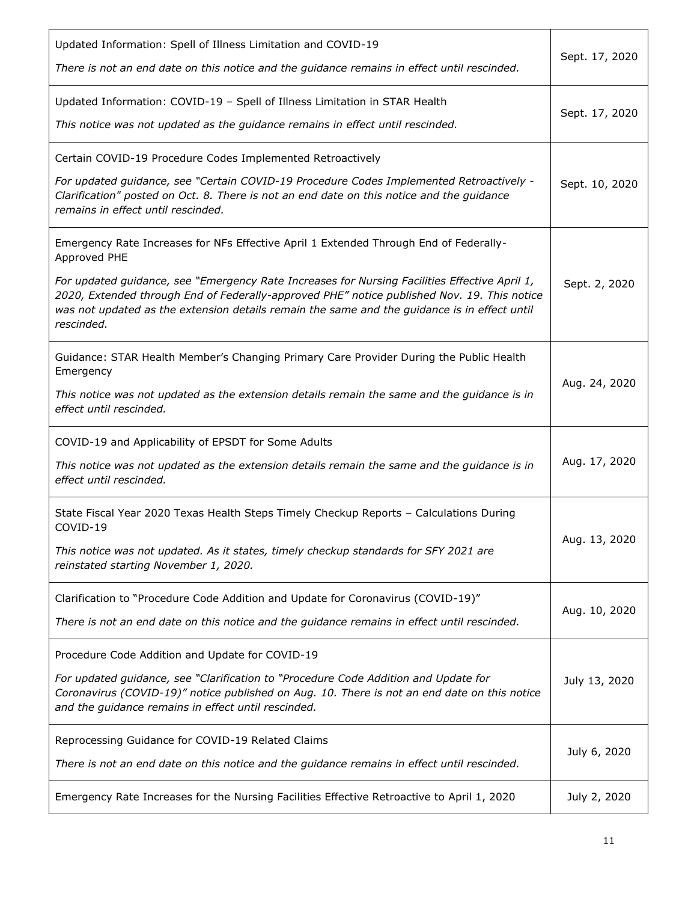| Updated Information: Spell of Illness Limitation and COVID-19<br>There is not an end date on this notice and the guidance remains in effect until rescinded.                                                                                                                                                                                                                                                        | Sept. 17, 2020 |
|---------------------------------------------------------------------------------------------------------------------------------------------------------------------------------------------------------------------------------------------------------------------------------------------------------------------------------------------------------------------------------------------------------------------|----------------|
| Updated Information: COVID-19 - Spell of Illness Limitation in STAR Health<br>This notice was not updated as the guidance remains in effect until rescinded.                                                                                                                                                                                                                                                        | Sept. 17, 2020 |
| Certain COVID-19 Procedure Codes Implemented Retroactively<br>For updated guidance, see "Certain COVID-19 Procedure Codes Implemented Retroactively -<br>Clarification" posted on Oct. 8. There is not an end date on this notice and the guidance<br>remains in effect until rescinded.                                                                                                                            | Sept. 10, 2020 |
| Emergency Rate Increases for NFs Effective April 1 Extended Through End of Federally-<br>Approved PHE<br>For updated guidance, see "Emergency Rate Increases for Nursing Facilities Effective April 1,<br>2020, Extended through End of Federally-approved PHE" notice published Nov. 19. This notice<br>was not updated as the extension details remain the same and the guidance is in effect until<br>rescinded. | Sept. 2, 2020  |
| Guidance: STAR Health Member's Changing Primary Care Provider During the Public Health<br>Emergency<br>This notice was not updated as the extension details remain the same and the guidance is in<br>effect until rescinded.                                                                                                                                                                                       | Aug. 24, 2020  |
| COVID-19 and Applicability of EPSDT for Some Adults<br>This notice was not updated as the extension details remain the same and the guidance is in<br>effect until rescinded.                                                                                                                                                                                                                                       | Aug. 17, 2020  |
| State Fiscal Year 2020 Texas Health Steps Timely Checkup Reports - Calculations During<br>COVID-19<br>This notice was not updated. As it states, timely checkup standards for SFY 2021 are<br>reinstated starting November 1, 2020.                                                                                                                                                                                 | Aug. 13, 2020  |
| Clarification to "Procedure Code Addition and Update for Coronavirus (COVID-19)"<br>There is not an end date on this notice and the guidance remains in effect until rescinded.                                                                                                                                                                                                                                     | Aug. 10, 2020  |
| Procedure Code Addition and Update for COVID-19<br>For updated guidance, see "Clarification to "Procedure Code Addition and Update for<br>Coronavirus (COVID-19)" notice published on Aug. 10. There is not an end date on this notice<br>and the guidance remains in effect until rescinded.                                                                                                                       | July 13, 2020  |
| Reprocessing Guidance for COVID-19 Related Claims<br>There is not an end date on this notice and the guidance remains in effect until rescinded.                                                                                                                                                                                                                                                                    | July 6, 2020   |
| Emergency Rate Increases for the Nursing Facilities Effective Retroactive to April 1, 2020                                                                                                                                                                                                                                                                                                                          | July 2, 2020   |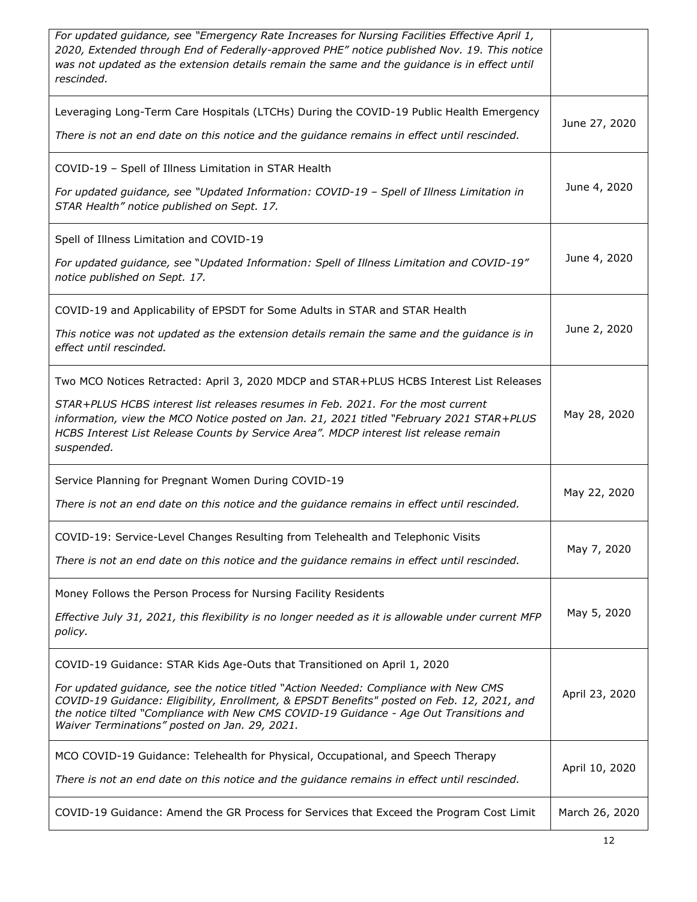| For updated guidance, see "Emergency Rate Increases for Nursing Facilities Effective April 1,<br>2020, Extended through End of Federally-approved PHE" notice published Nov. 19. This notice<br>was not updated as the extension details remain the same and the guidance is in effect until<br>rescinded.                   |                |
|------------------------------------------------------------------------------------------------------------------------------------------------------------------------------------------------------------------------------------------------------------------------------------------------------------------------------|----------------|
| Leveraging Long-Term Care Hospitals (LTCHs) During the COVID-19 Public Health Emergency<br>There is not an end date on this notice and the guidance remains in effect until rescinded.                                                                                                                                       | June 27, 2020  |
|                                                                                                                                                                                                                                                                                                                              |                |
| COVID-19 - Spell of Illness Limitation in STAR Health                                                                                                                                                                                                                                                                        | June 4, 2020   |
| For updated guidance, see "Updated Information: COVID-19 - Spell of Illness Limitation in<br>STAR Health" notice published on Sept. 17.                                                                                                                                                                                      |                |
| Spell of Illness Limitation and COVID-19                                                                                                                                                                                                                                                                                     |                |
| For updated guidance, see "Updated Information: Spell of Illness Limitation and COVID-19"<br>notice published on Sept. 17.                                                                                                                                                                                                   | June 4, 2020   |
| COVID-19 and Applicability of EPSDT for Some Adults in STAR and STAR Health                                                                                                                                                                                                                                                  |                |
| This notice was not updated as the extension details remain the same and the guidance is in<br>effect until rescinded.                                                                                                                                                                                                       | June 2, 2020   |
| Two MCO Notices Retracted: April 3, 2020 MDCP and STAR+PLUS HCBS Interest List Releases                                                                                                                                                                                                                                      |                |
| STAR+PLUS HCBS interest list releases resumes in Feb. 2021. For the most current<br>information, view the MCO Notice posted on Jan. 21, 2021 titled "February 2021 STAR+PLUS<br>HCBS Interest List Release Counts by Service Area". MDCP interest list release remain<br>suspended.                                          | May 28, 2020   |
| Service Planning for Pregnant Women During COVID-19                                                                                                                                                                                                                                                                          |                |
| There is not an end date on this notice and the guidance remains in effect until rescinded.                                                                                                                                                                                                                                  | May 22, 2020   |
| COVID-19: Service-Level Changes Resulting from Telehealth and Telephonic Visits                                                                                                                                                                                                                                              | May 7, 2020    |
| There is not an end date on this notice and the guidance remains in effect until rescinded.                                                                                                                                                                                                                                  |                |
| Money Follows the Person Process for Nursing Facility Residents                                                                                                                                                                                                                                                              |                |
| Effective July 31, 2021, this flexibility is no longer needed as it is allowable under current MFP<br>policy.                                                                                                                                                                                                                | May 5, 2020    |
| COVID-19 Guidance: STAR Kids Age-Outs that Transitioned on April 1, 2020                                                                                                                                                                                                                                                     |                |
| For updated guidance, see the notice titled "Action Needed: Compliance with New CMS<br>COVID-19 Guidance: Eligibility, Enrollment, & EPSDT Benefits" posted on Feb. 12, 2021, and<br>the notice tilted "Compliance with New CMS COVID-19 Guidance - Age Out Transitions and<br>Waiver Terminations" posted on Jan. 29, 2021. | April 23, 2020 |
| MCO COVID-19 Guidance: Telehealth for Physical, Occupational, and Speech Therapy                                                                                                                                                                                                                                             | April 10, 2020 |
| There is not an end date on this notice and the guidance remains in effect until rescinded.                                                                                                                                                                                                                                  |                |
| COVID-19 Guidance: Amend the GR Process for Services that Exceed the Program Cost Limit                                                                                                                                                                                                                                      | March 26, 2020 |